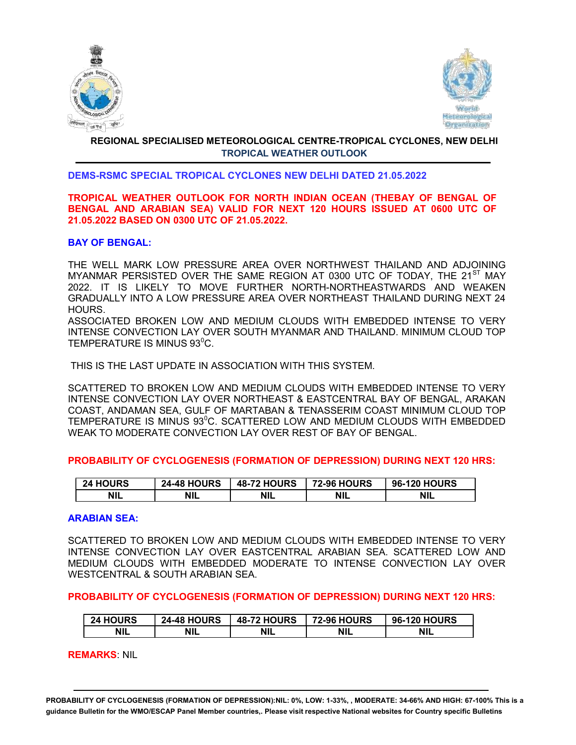



# REGIONAL SPECIALISED METEOROLOGICAL CENTRE-TROPICAL CYCLONES, NEW DELHI TROPICAL WEATHER OUTLOOK

## DEMS-RSMC SPECIAL TROPICAL CYCLONES NEW DELHI DATED 21.05.2022

# TROPICAL WEATHER OUTLOOK FOR NORTH INDIAN OCEAN (THEBAY OF BENGAL OF BENGAL AND ARABIAN SEA) VALID FOR NEXT 120 HOURS ISSUED AT 0600 UTC OF 21.05.2022 BASED ON 0300 UTC OF 21.05.2022.

## BAY OF BENGAL:

THE WELL MARK LOW PRESSURE AREA OVER NORTHWEST THAILAND AND ADJOINING MYANMAR PERSISTED OVER THE SAME REGION AT 0300 UTC OF TODAY. THE 21<sup>ST</sup> MAY 2022. IT IS LIKELY TO MOVE FURTHER NORTH-NORTHEASTWARDS AND WEAKEN GRADUALLY INTO A LOW PRESSURE AREA OVER NORTHEAST THAILAND DURING NEXT 24 HOURS.

ASSOCIATED BROKEN LOW AND MEDIUM CLOUDS WITH EMBEDDED INTENSE TO VERY INTENSE CONVECTION LAY OVER SOUTH MYANMAR AND THAILAND. MINIMUM CLOUD TOP TEMPERATURE IS MINUS 93<sup>°</sup>C.

THIS IS THE LAST UPDATE IN ASSOCIATION WITH THIS SYSTEM.

SCATTERED TO BROKEN LOW AND MEDIUM CLOUDS WITH EMBEDDED INTENSE TO VERY INTENSE CONVECTION LAY OVER NORTHEAST & EASTCENTRAL BAY OF BENGAL, ARAKAN COAST, ANDAMAN SEA, GULF OF MARTABAN & TENASSERIM COAST MINIMUM CLOUD TOP TEMPERATURE IS MINUS 93<sup>°</sup>C. SCATTERED LOW AND MEDIUM CLOUDS WITH EMBEDDED WEAK TO MODERATE CONVECTION LAY OVER REST OF BAY OF BENGAL.

# PROBABILITY OF CYCLOGENESIS (FORMATION OF DEPRESSION) DURING NEXT 120 HRS:

| <b>24 HOURS</b> | <b>24-48 HOURS</b> | <b>48-72 HOURS</b> | <b>72-96 HOURS</b> | <b>96-120 HOURS</b> |
|-----------------|--------------------|--------------------|--------------------|---------------------|
| <b>NIL</b>      | <b>NIL</b>         | <b>NIL</b>         | <b>NIL</b>         | <b>NIL</b>          |

#### ARABIAN SEA:

SCATTERED TO BROKEN LOW AND MEDIUM CLOUDS WITH EMBEDDED INTENSE TO VERY INTENSE CONVECTION LAY OVER EASTCENTRAL ARABIAN SEA. SCATTERED LOW AND MEDIUM CLOUDS WITH EMBEDDED MODERATE TO INTENSE CONVECTION LAY OVER WESTCENTRAL & SOUTH ARABIAN SEA.

PROBABILITY OF CYCLOGENESIS (FORMATION OF DEPRESSION) DURING NEXT 120 HRS:

| <b>24 HOURS</b> | <b>24-48 HOURS</b> | <b>48-72 HOURS</b> | <b>72-96 HOURS</b> | <b>96-120 HOURS</b> |
|-----------------|--------------------|--------------------|--------------------|---------------------|
| NIL             | <b>NIL</b>         | <b>NIL</b>         | <b>NIL</b>         | NIL                 |

REMARKS: NIL